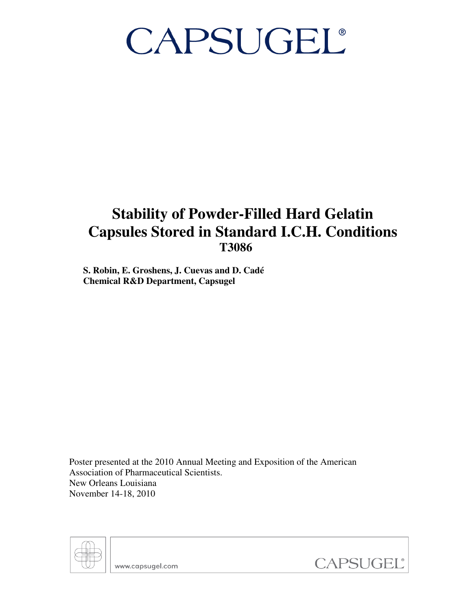### **Stability of Powder-Filled Hard Gelatin Capsules Stored in Standard I.C.H. Conditions T3086**

**S. Robin, E. Groshens, J. Cuevas and D. Cadé Chemical R&D Department, Capsugel** 

Poster presented at the 2010 Annual Meeting and Exposition of the American Association of Pharmaceutical Scientists. New Orleans Louisiana November 14-18, 2010



www.capsugel.com

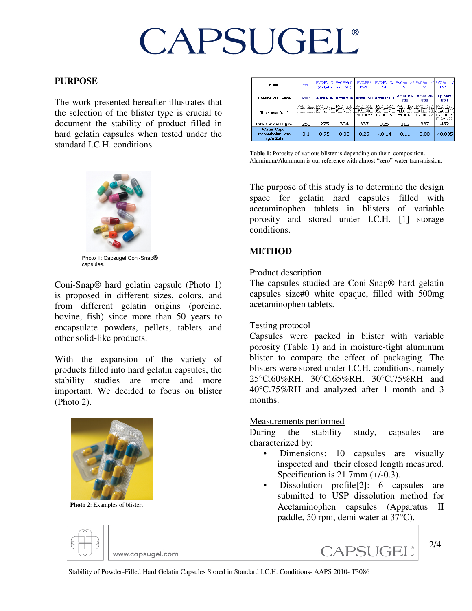#### **PURPOSE**

The work presented hereafter illustrates that the selection of the blister type is crucial to document the stability of product filled in hard gelatin capsules when tested under the standard I.C.H. conditions.



Photo 1: Capsugel Coni-Snap® capsules.

Coni-Snap® hard gelatin capsule (Photo 1) is proposed in different sizes, colors, and from different gelatin origins (porcine, bovine, fish) since more than 50 years to encapsulate powders, pellets, tablets and other solid-like products.

With the expansion of the variety of products filled into hard gelatin capsules, the stability studies are more and more important. We decided to focus on blister (Photo 2).



 **Photo 2**: Examples of blister.

| <b>Name</b>                                         | <b>PVC</b> | <b>PVC/PVdC</b><br>(250/40) | <b>PVC/PVdC</b><br>PVC/PE/<br>(250/90)<br><b>PVdC</b> |                                         | PVC/PVdC/<br>PVC.                            | PVC.                                       | PVC/Aclar/ PVC/Aclar/ PVC/Aclar/<br>PVC.   | <b>PVdC</b>                                             |
|-----------------------------------------------------|------------|-----------------------------|-------------------------------------------------------|-----------------------------------------|----------------------------------------------|--------------------------------------------|--------------------------------------------|---------------------------------------------------------|
| Commercial name                                     | <b>PVC</b> |                             |                                                       |                                         | Alfoil PSG Alfoil XSG Alfoil TSG Alfoil ES03 | <b>Aclar PA</b><br><b>SO3</b>              | <b>Aclar PA</b><br><b>SO3</b>              | <b>Kp Max</b><br><b>SO4</b>                             |
| Thickness (µm)                                      |            | PVC= 250 PVC= 250           | $PVC = 250$<br>$PVdC = 25$ $PVdC = 54$                | $PVC = 250$<br>$PE = 30$<br>$PVdC = 57$ | $PVC = 127$<br>$PVdC = 71$<br>$PVC = 127$    | $PVC = 127$<br>$Aclar = 51$<br>$PVC = 127$ | $PVC = 127$<br>$Aclar = 76$<br>$PVC = 127$ | $PVC = 127$<br>$Aclar = 102$<br>$PVdC = 96$<br>PVC= 127 |
| Total thickness (um)                                | 250        | 275                         | 304                                                   | 337                                     | 325                                          | 312                                        | 337                                        | 452                                                     |
| <b>Water Vapor</b><br>transmission rate<br>(q/m2.d) | 3.1        | 0.75                        | 0.35                                                  | 0.25                                    | < 0.14                                       | 0.11                                       | 0.08                                       | < 0.035                                                 |

**Table 1**: Porosity of various blister is depending on their composition. Aluminum/Aluminum is our reference with almost "zero" water transmission.

The purpose of this study is to determine the design space for gelatin hard capsules filled with acetaminophen tablets in blisters of variable porosity and stored under I.C.H. [1] storage conditions.

#### **METHOD**

#### Product description

The capsules studied are Coni-Snap® hard gelatin capsules size#0 white opaque, filled with 500mg acetaminophen tablets.

#### Testing protocol

Capsules were packed in blister with variable porosity (Table 1) and in moisture-tight aluminum blister to compare the effect of packaging. The blisters were stored under I.C.H. conditions, namely 25°C.60%RH, 30°C.65%RH, 30°C.75%RH and 40°C.75%RH and analyzed after 1 month and 3 months.

#### Measurements performed

During the stability study, capsules are characterized by:

- Dimensions: 10 capsules are visually inspected and their closed length measured. Specification is 21.7mm (+/-0.3).
- Dissolution profile[2]: 6 capsules are submitted to USP dissolution method for Acetaminophen capsules (Apparatus II paddle, 50 rpm, demi water at 37°C).



www.capsugel.com

CAPSUGEL®

Stability of Powder-Filled Hard Gelatin Capsules Stored in Standard I.C.H. Conditions- AAPS 2010- T3086

2/4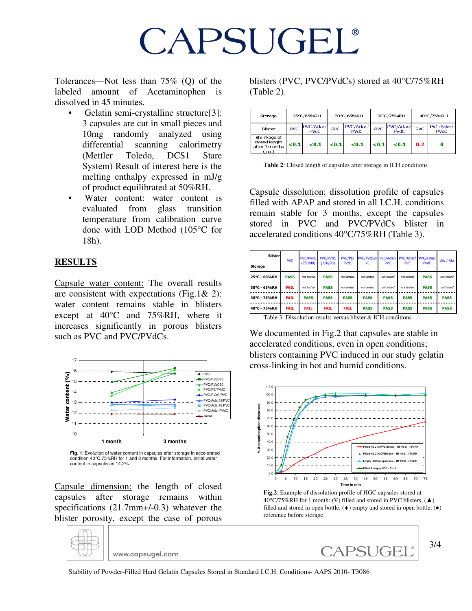Tolerances—Not less than 75% (Q) of the labeled amount of Acetaminophen is dissolved in 45 minutes.

- Gelatin semi-crystalline structure[3]: 3 capsules are cut in small pieces and 10mg randomly analyzed using differential scanning calorimetry (Mettler Toledo, DCS1 Stare System) Result of interest here is the melting enthalpy expressed in mJ/g of product equilibrated at 50%RH.
- Water content: water content is evaluated from glass transition temperature from calibration curve done with LOD Method (105°C for 18h).

#### **RESULTS**

Capsule water content: The overall results are consistent with expectations (Fig.1& 2): water content remains stable in blisters except at 40°C and 75%RH, where it increases significantly in porous blisters such as PVC and PVC/PVdCs.



**Fig. 1**: Evolution of water content in capsules after storage in accelerated condition 40°C.75%RH for 1 and 3 months. For information, Initial water content in capsules is 14.2%.

Capsule dimension: the length of closed capsules after storage remains within specifications (21.7mm+/-0.3) whatever the blister porosity, except the case of porous

www.capsugel.com

blisters (PVC, PVC/PVdCs) stored at 40°C/75%RH (Table 2).

| Storage                                                 |            | 25°C/65%RH                | 30°C/65%RH |                           | 30°C/75%RH |                           | 40°C/75%RH |                           |
|---------------------------------------------------------|------------|---------------------------|------------|---------------------------|------------|---------------------------|------------|---------------------------|
| <b>Blister</b>                                          | <b>PVC</b> | PVC/Aclar/<br><b>PVdC</b> | <b>PVC</b> | PVC/Aclar/<br><b>PVdC</b> | <b>PVC</b> | PVC/Aclar/<br><b>PVdC</b> | <b>PVC</b> | PVC/Aclar/<br><b>PVdC</b> |
| Shrinkage of<br>closed length<br>after 3 months<br>(mm) | < 0.1      | < 0.1                     | < 0.1      | $0.1$                     | < 0.1      | < 0.1                     | 0.2        |                           |

**Table 2**: Closed length of capsules after storage in ICH conditions

Capsule dissolution: dissolution profile of capsules filled with APAP and stored in all I.C.H. conditions remain stable for 3 months, except the capsules stored in PVC and PVC/PVdCs blister in accelerated conditions 40°C/75%RH (Table 3).

| <b>Blister</b> | <b>PVC</b>  | (250/40)    | PVC/PVdC PVC/PVdC<br>(250/90) | PVC/PE/<br><b>PVdC</b> | PVC/PVdC/P PVC/Aclar/<br>VC. | <b>PVC</b>  | PVC/Aclar/<br><b>PVC</b> | PVC/Aclar/<br><b>PVdC</b> | Alu / Alu   |
|----------------|-------------|-------------|-------------------------------|------------------------|------------------------------|-------------|--------------------------|---------------------------|-------------|
| <b>Storage</b> |             |             |                               |                        |                              |             |                          |                           |             |
| 25°C - 60%RH   | <b>PASS</b> | not tested  | <b>PASS</b>                   | not tested             | not tested                   | not tested  | not tested               | <b>PASS</b>               | not tested  |
| 30°C - 65%RH   | <b>FAIL</b> | not tested  | <b>PASS</b>                   | not tested             | not tested                   | not tested  | not tested               | <b>PASS</b>               | not tested  |
| 30°C - 75%RH   | <b>FAIL</b> | <b>PASS</b> | <b>PASS</b>                   | <b>PASS</b>            | <b>PASS</b>                  | <b>PASS</b> | <b>PASS</b>              | <b>PASS</b>               | <b>PASS</b> |
| 40°C - 75%RH   | <b>FAIL</b> | <b>FAIL</b> | <b>FAIL</b>                   | <b>FAIL</b>            | <b>PASS</b>                  | <b>PASS</b> | <b>PASS</b>              | <b>PASS</b>               | <b>PASS</b> |

Table 3: Dissolution results versus blister & ICH conditions

We documented in Fig.2 that capsules are stable in accelerated conditions, even in open conditions; blisters containing PVC induced in our study gelatin cross-linking in hot and humid conditions.



**Fig.2**: Example of dissolution profile of HGC capsules stored at 40°C/75%RH for 1 month:  $(\nabla)$  filled and stored in PVC blisters,  $(\triangle)$ filled and stored in open bottle,  $(•)$  empty and stored in open bottle,  $(•)$ reference before storage

CAPSUGEL®



3/4